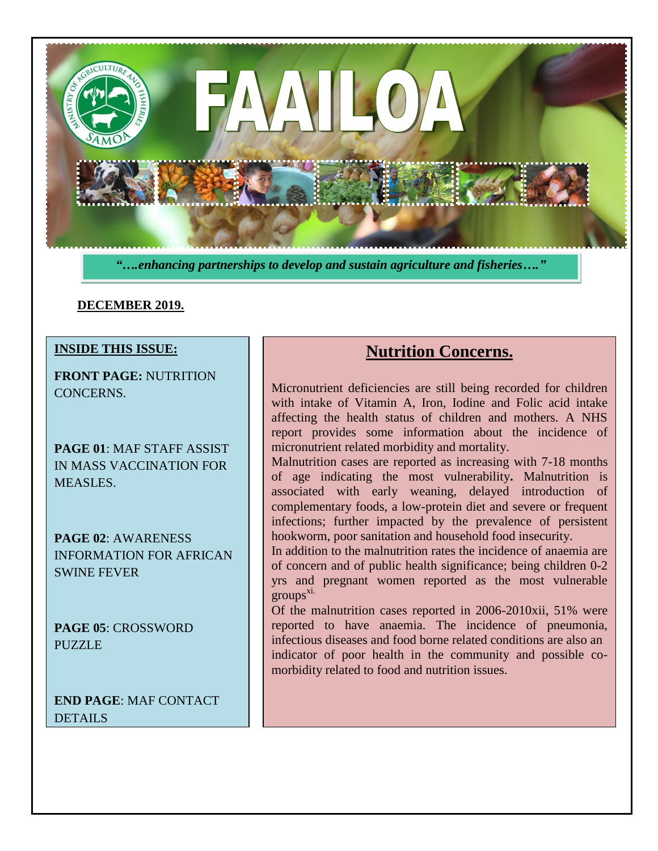

*"….enhancing partnerships to develop and sustain agriculture and fisheries…."*

#### **DECEMBER 2019.**

#### **INSIDE THIS ISSUE:**

**FRONT PAGE:** NUTRITION CONCERNS.

**PAGE 01**: MAF STAFF ASSIST IN MASS VACCINATION FOR MEASLES.

**PAGE 02**: AWARENESS INFORMATION FOR AFRICAN SWINE FEVER

**PAGE 05**: CROSSWORD PUZZLE

**END PAGE**: MAF CONTACT DETAILS.

# **Nutrition Concerns.**

Micronutrient deficiencies are still being recorded for children with intake of Vitamin A, Iron, Iodine and Folic acid intake affecting the health status of children and mothers. A NHS report provides some information about the incidence of micronutrient related morbidity and mortality.

Malnutrition cases are reported as increasing with 7-18 months of age indicating the most vulnerability**.** Malnutrition is associated with early weaning, delayed introduction of complementary foods, a low-protein diet and severe or frequent infections; further impacted by the prevalence of persistent hookworm, poor sanitation and household food insecurity.

In addition to the malnutrition rates the incidence of anaemia are of concern and of public health significance; being children 0-2 yrs and pregnant women reported as the most vulnerable groups xi.

Of the malnutrition cases reported in 2006-2010xii, 51% were reported to have anaemia. The incidence of pneumonia, infectious diseases and food borne related conditions are also an indicator of poor health in the community and possible comorbidity related to food and nutrition issues.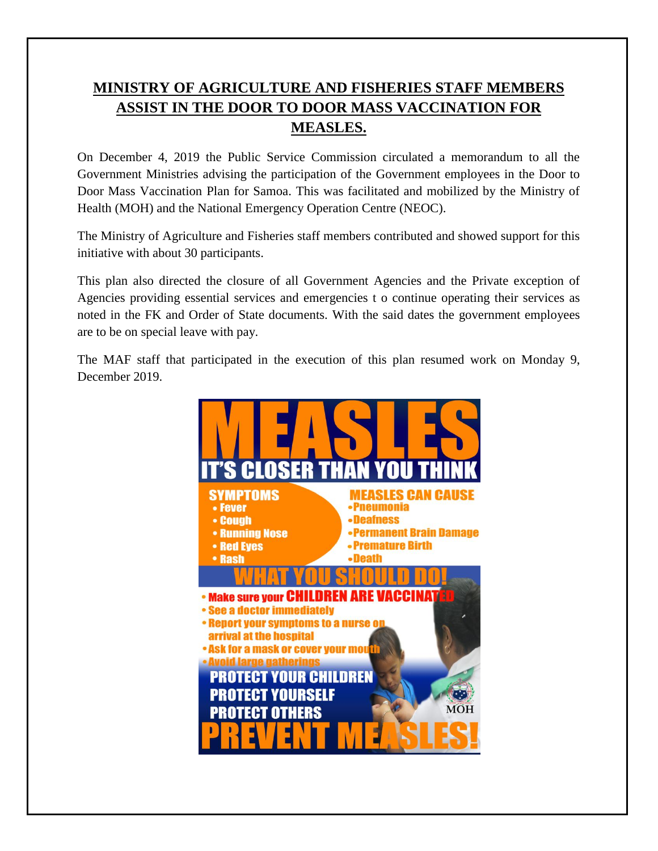## **MINISTRY OF AGRICULTURE AND FISHERIES STAFF MEMBERS ASSIST IN THE DOOR TO DOOR MASS VACCINATION FOR MEASLES.**

On December 4, 2019 the Public Service Commission circulated a memorandum to all the Government Ministries advising the participation of the Government employees in the Door to Door Mass Vaccination Plan for Samoa. This was facilitated and mobilized by the Ministry of Health (MOH) and the National Emergency Operation Centre (NEOC).

The Ministry of Agriculture and Fisheries staff members contributed and showed support for this initiative with about 30 participants.

This plan also directed the closure of all Government Agencies and the Private exception of Agencies providing essential services and emergencies t o continue operating their services as noted in the FK and Order of State documents. With the said dates the government employees are to be on special leave with pay.

The MAF staff that participated in the execution of this plan resumed work on Monday 9, December 2019.

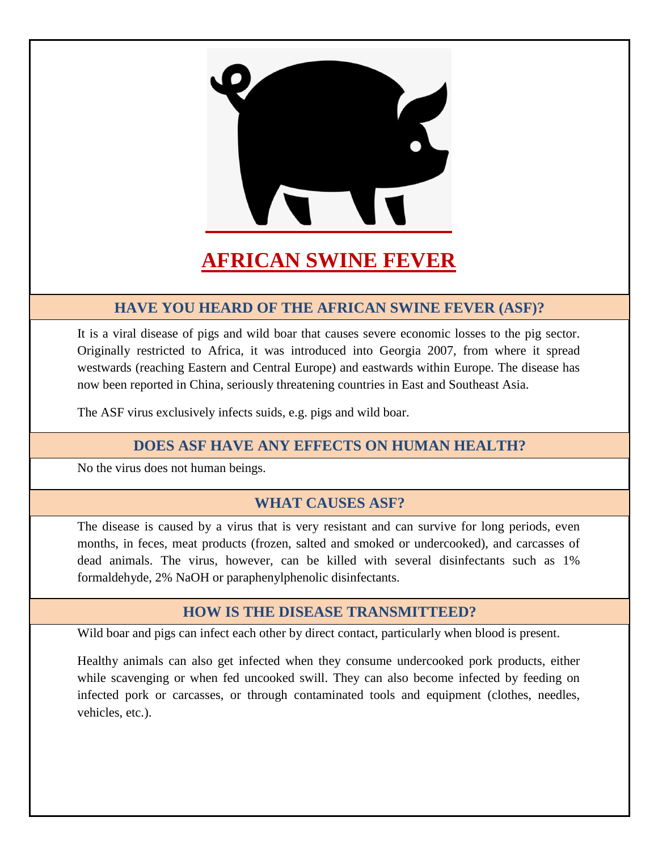

# **AFRICAN SWINE FEVER**

### **HAVE YOU HEARD OF THE AFRICAN SWINE FEVER (ASF)?**

It is a viral disease of pigs and wild boar that causes severe economic losses to the pig sector. Originally restricted to Africa, it was introduced into Georgia 2007, from where it spread westwards (reaching Eastern and Central Europe) and eastwards within Europe. The disease has now been reported in China, seriously threatening countries in East and Southeast Asia.

The ASF virus exclusively infects suids, e.g. pigs and wild boar.

### **DOES ASF HAVE ANY EFFECTS ON HUMAN HEALTH?**

No the virus does not human beings.

#### **WHAT CAUSES ASF?**

The disease is caused by a virus that is very resistant and can survive for long periods, even months, in feces, meat products (frozen, salted and smoked or undercooked), and carcasses of dead animals. The virus, however, can be killed with several disinfectants such as 1% formaldehyde, 2% NaOH or paraphenylphenolic disinfectants.

#### **HOW IS THE DISEASE TRANSMITTEED?**

Wild boar and pigs can infect each other by direct contact, particularly when blood is present.

Healthy animals can also get infected when they consume undercooked pork products, either while scavenging or when fed uncooked swill. They can also become infected by feeding on infected pork or carcasses, or through contaminated tools and equipment (clothes, needles, vehicles, etc.).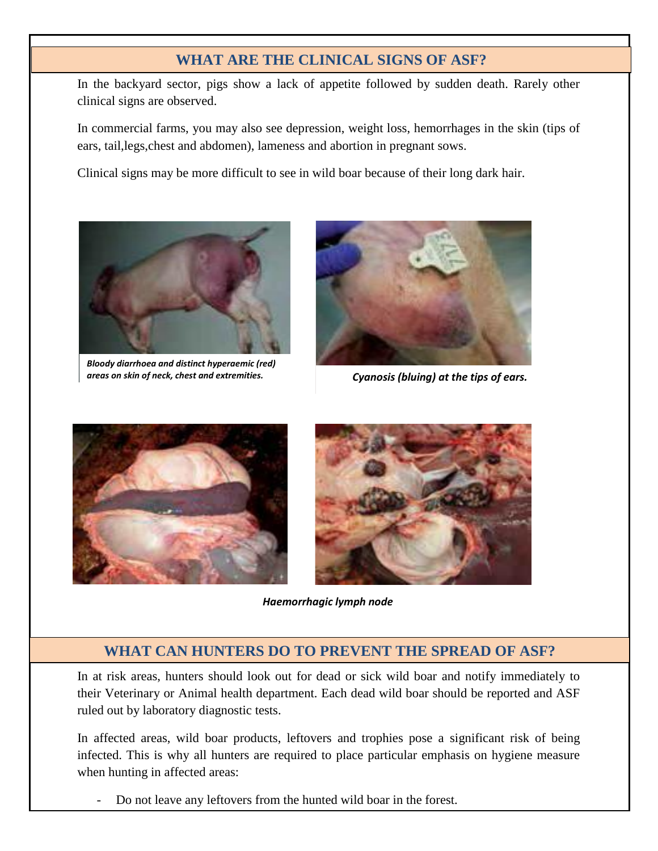## **INfection can cause a wide range of clinical signs. Signs of ASF?**

In the backyard sector, pigs show a lack of appetite followed by sudden death. Rarely other clinical signs are observed.

In commercial farms, you may also see depression, weight loss, hemorrhages in the skin (tips of ears, tail,legs,chest and abdomen), lameness and abortion in pregnant sows.

Clinical signs may be more difficult to see in wild boar because of their long dark hair.



*Bloody diarrhoea and distinct hyperaemic (red) areas on skin of neck, chest and extremities.*



*Cyanosis (bluing) at the tips of ears.*





*Haemorrhagic lymph node*

#### **WHAT CAN HUNTERS DO TO PREVENT THE SPREAD OF ASF?**

In at risk areas, hunters should look out for dead or sick wild boar and notify immediately to their Veterinary or Animal health department. Each dead wild boar should be reported and ASF ruled out by laboratory diagnostic tests.

In affected areas, wild boar products, leftovers and trophies pose a significant risk of being infected. This is why all hunters are required to place particular emphasis on hygiene measure when hunting in affected areas:

- Do not leave any leftovers from the hunted wild boar in the forest.